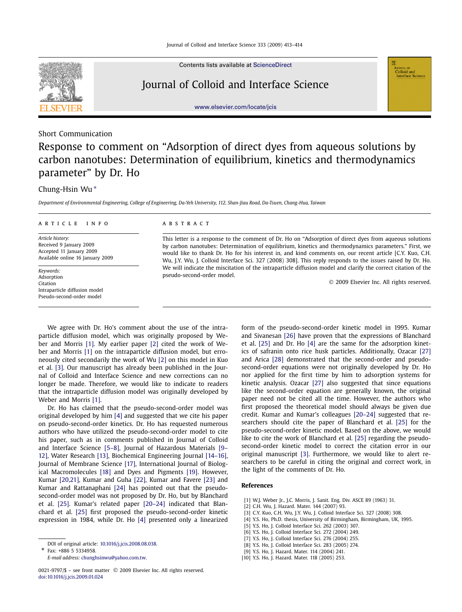

Contents lists available at [ScienceDirect](http://www.ScienceDirect.com/)

## Journal of Colloid and Interface Science

[www.elsevier.com/locate/jcis](http://www.elsevier.com/locate/jcis)

## Short Communication

# Response to comment on "Adsorption of direct dyes from aqueous solutions by carbon nanotubes: Determination of equilibrium, kinetics and thermodynamics parameter" by Dr. Ho

## Chung-Hsin Wu ∗

*Department of Environmental Engineering, College of Engineering, Da-Yeh University, 112, Shan-Jiau Road, Da-Tsuen, Chang-Hua, Taiwan*

#### article info abstract

*Article history:* Received 9 January 2009 Accepted 11 January 2009 Available online 16 January 2009

*Keywords:* Adsorption Citation Intraparticle diffusion model Pseudo-second-order model

This letter is a response to the comment of Dr. Ho on "Adsorption of direct dyes from aqueous solutions by carbon nanotubes: Determination of equilibrium, kinetics and thermodynamics parameters." First, we would like to thank Dr. Ho for his interest in, and kind comments on, our recent article [C.Y. Kuo, C.H. Wu, J.Y. Wu, J. Colloid Interface Sci. 327 (2008) 308]. This reply responds to the issues raised by Dr. Ho. We will indicate the miscitation of the intraparticle diffusion model and clarify the correct citation of the pseudo-second-order model.

© 2009 Elsevier Inc. All rights reserved.

**Colloid and**<br>Colloid and<br>Interface Science

We agree with Dr. Ho's comment about the use of the intraparticle diffusion model, which was originally proposed by Weber and Morris [1]. My earlier paper [2] cited the work of Weber and Morris [1] on the intraparticle diffusion model, but erroneously cited secondarily the work of Wu [2] on this model in Kuo et al. [3]. Our manuscript has already been published in the Journal of Colloid and Interface Science and new corrections can no longer be made. Therefore, we would like to indicate to readers that the intraparticle diffusion model was originally developed by Weber and Morris [1].

Dr. Ho has claimed that the pseudo-second-order model was original developed by him [4] and suggested that we cite his paper on pseudo-second-order kinetics. Dr. Ho has requested numerous authors who have utilized the pseudo-second-order model to cite his paper, such as in comments published in Journal of Colloid and Interface Science [5–8], Journal of Hazardous Materials [9– 12], Water Research [\[13\],](#page-1-0) Biochemical Engineering Journal [\[14–16\],](#page-1-0) Journal of Membrane Science [\[17\],](#page-1-0) International Journal of Biological Macromolecules [\[18\]](#page-1-0) and Dyes and Pigments [\[19\].](#page-1-0) However, Kumar [\[20,21\],](#page-1-0) Kumar and Guha [\[22\],](#page-1-0) Kumar and Favere [\[23\]](#page-1-0) and Kumar and Rattanaphani [\[24\]](#page-1-0) has pointed out that the pseudosecond-order model was not proposed by Dr. Ho, but by Blanchard et al. [\[25\].](#page-1-0) Kumar's related paper [\[20–24\]](#page-1-0) indicated that Blanchard et al. [\[25\]](#page-1-0) first proposed the pseudo-second-order kinetic expression in 1984, while Dr. Ho [4] presented only a linearized

Fax: +886 5 5334958.

*E-mail address:* [chunghsinwu@yahoo.com.tw.](mailto:chunghsinwu@yahoo.com.tw)

form of the pseudo-second-order kinetic model in 1995. Kumar and Sivanesan [\[26\]](#page-1-0) have proven that the expressions of Blanchard et al. [\[25\]](#page-1-0) and Dr. Ho [4] are the same for the adsorption kinetics of safranin onto rice husk particles. Additionally, Ozacar [\[27\]](#page-1-0) and Arica [\[28\]](#page-1-0) demonstrated that the second-order and pseudosecond-order equations were not originally developed by Dr. Ho nor applied for the first time by him to adsorption systems for kinetic analysis. Ozacar [\[27\]](#page-1-0) also suggested that since equations like the second-order equation are generally known, the original paper need not be cited all the time. However, the authors who first proposed the theoretical model should always be given due credit. Kumar and Kumar's colleagues [\[20–24\]](#page-1-0) suggested that researchers should cite the paper of Blanchard et al. [\[25\]](#page-1-0) for the pseudo-second-order kinetic model. Based on the above, we would like to cite the work of Blanchard et al. [\[25\]](#page-1-0) regarding the pseudosecond-order kinetic model to correct the citation error in our original manuscript [3]. Furthermore, we would like to alert researchers to be careful in citing the original and correct work, in the light of the comments of Dr. Ho.

#### **References**

- [1] W.J. Weber Jr., J.C. Morris, J. Sanit. Eng. Div. ASCE 89 (1963) 31.
- [2] C.H. Wu, J. Hazard. Mater. 144 (2007) 93.
- [3] C.Y. Kuo, C.H. Wu, J.Y. Wu, J. Colloid Interface Sci. 327 (2008) 308.
- [4] Y.S. Ho, Ph.D. thesis, University of Birmingham, Birmingham, UK, 1995.
- [5] Y.S. Ho, J. Colloid Interface Sci. 262 (2003) 307.
- [6] Y.S. Ho, J. Colloid Interface Sci. 272 (2004) 249.
- [7] Y.S. Ho, J. Colloid Interface Sci. 276 (2004) 255.
- [8] Y.S. Ho, J. Colloid Interface Sci. 283 (2005) 274.
- [9] Y.S. Ho, J. Hazard. Mater. 114 (2004) 241.
- [10] Y.S. Ho, J. Hazard. Mater. 118 (2005) 253.

DOI of original article: [10.1016/j.jcis.2008.08.038.](http://dx.doi.org/10.1016/j.jcis.2008.08.038)

<sup>0021-9797/\$ –</sup> see front matter © 2009 Elsevier Inc. All rights reserved. [doi:10.1016/j.jcis.2009.01.024](http://dx.doi.org/10.1016/j.jcis.2009.01.024)